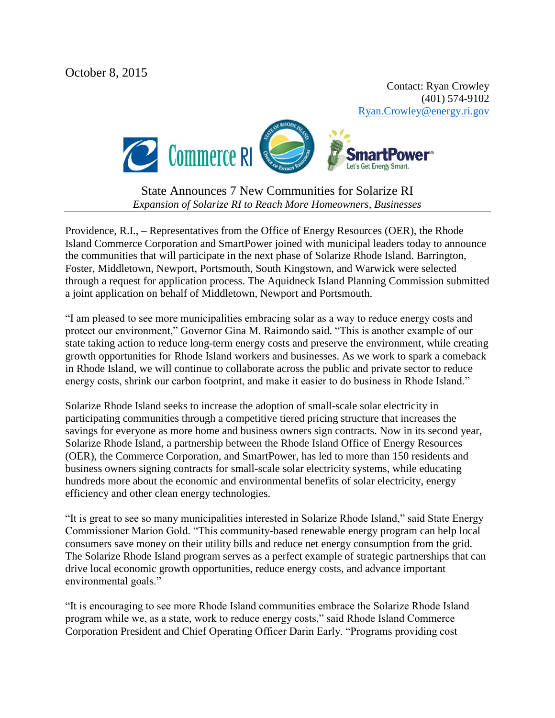October 8, 2015

Contact: Ryan Crowley (401) 574-9102 [Ryan.Crowley@energy.ri.gov](mailto:Ryan.Crowley@energy.ri.gov)



State Announces 7 New Communities for Solarize RI *Expansion of Solarize RI to Reach More Homeowners, Businesses*

Providence, R.I., – Representatives from the Office of Energy Resources (OER), the Rhode Island Commerce Corporation and SmartPower joined with municipal leaders today to announce the communities that will participate in the next phase of Solarize Rhode Island. Barrington, Foster, Middletown, Newport, Portsmouth, South Kingstown, and Warwick were selected through a request for application process. The Aquidneck Island Planning Commission submitted a joint application on behalf of Middletown, Newport and Portsmouth.

"I am pleased to see more municipalities embracing solar as a way to reduce energy costs and protect our environment," Governor Gina M. Raimondo said. "This is another example of our state taking action to reduce long-term energy costs and preserve the environment, while creating growth opportunities for Rhode Island workers and businesses. As we work to spark a comeback in Rhode Island, we will continue to collaborate across the public and private sector to reduce energy costs, shrink our carbon footprint, and make it easier to do business in Rhode Island."

Solarize Rhode Island seeks to increase the adoption of small-scale solar electricity in participating communities through a competitive tiered pricing structure that increases the savings for everyone as more home and business owners sign contracts. Now in its second year, Solarize Rhode Island, a partnership between the Rhode Island Office of Energy Resources (OER), the Commerce Corporation, and SmartPower, has led to more than 150 residents and business owners signing contracts for small-scale solar electricity systems, while educating hundreds more about the economic and environmental benefits of solar electricity, energy efficiency and other clean energy technologies.

"It is great to see so many municipalities interested in Solarize Rhode Island," said State Energy Commissioner Marion Gold. "This community-based renewable energy program can help local consumers save money on their utility bills and reduce net energy consumption from the grid. The Solarize Rhode Island program serves as a perfect example of strategic partnerships that can drive local economic growth opportunities, reduce energy costs, and advance important environmental goals."

"It is encouraging to see more Rhode Island communities embrace the Solarize Rhode Island program while we, as a state, work to reduce energy costs," said Rhode Island Commerce Corporation President and Chief Operating Officer Darin Early. "Programs providing cost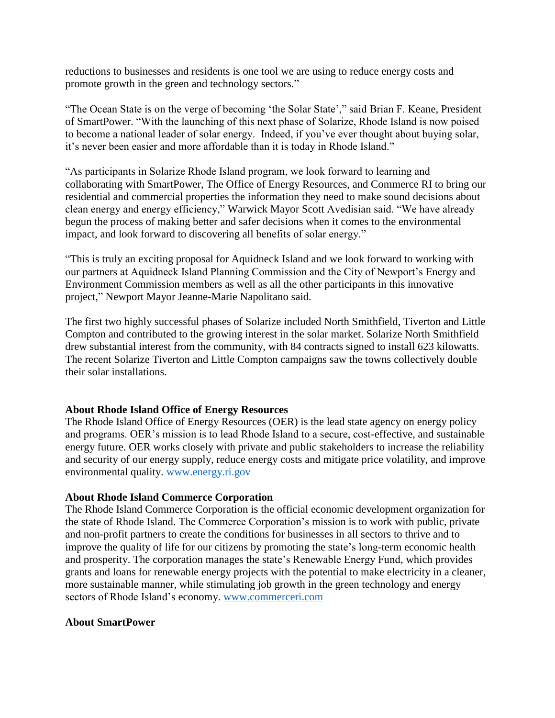reductions to businesses and residents is one tool we are using to reduce energy costs and promote growth in the green and technology sectors."

"The Ocean State is on the verge of becoming 'the Solar State'," said Brian F. Keane, President of SmartPower. "With the launching of this next phase of Solarize, Rhode Island is now poised to become a national leader of solar energy. Indeed, if you've ever thought about buying solar, it's never been easier and more affordable than it is today in Rhode Island."

"As participants in Solarize Rhode Island program, we look forward to learning and collaborating with SmartPower, The Office of Energy Resources, and Commerce RI to bring our residential and commercial properties the information they need to make sound decisions about clean energy and energy efficiency," Warwick Mayor Scott Avedisian said. "We have already begun the process of making better and safer decisions when it comes to the environmental impact, and look forward to discovering all benefits of solar energy."

"This is truly an exciting proposal for Aquidneck Island and we look forward to working with our partners at Aquidneck Island Planning Commission and the City of Newport's Energy and Environment Commission members as well as all the other participants in this innovative project," Newport Mayor Jeanne-Marie Napolitano said.

The first two highly successful phases of Solarize included North Smithfield, Tiverton and Little Compton and contributed to the growing interest in the solar market. Solarize North Smithfield drew substantial interest from the community, with 84 contracts signed to install 623 kilowatts. The recent Solarize Tiverton and Little Compton campaigns saw the towns collectively double their solar installations.

## **About Rhode Island Office of Energy Resources**

The Rhode Island Office of Energy Resources (OER) is the lead state agency on energy policy and programs. OER's mission is to lead Rhode Island to a secure, cost-effective, and sustainable energy future. OER works closely with private and public stakeholders to increase the reliability and security of our energy supply, reduce energy costs and mitigate price volatility, and improve environmental quality. [www.energy.ri.gov](http://www.energy.ri.gov/)

## **About Rhode Island Commerce Corporation**

The Rhode Island Commerce Corporation is the official economic development organization for the state of Rhode Island. The Commerce Corporation's mission is to work with public, private and non-profit partners to create the conditions for businesses in all sectors to thrive and to improve the quality of life for our citizens by promoting the state's long-term economic health and prosperity. The corporation manages the state's Renewable Energy Fund, which provides grants and loans for renewable energy projects with the potential to make electricity in a cleaner, more sustainable manner, while stimulating job growth in the green technology and energy sectors of Rhode Island's economy. [www.commerceri.com](http://www.commerceri.com/)

## **About SmartPower**